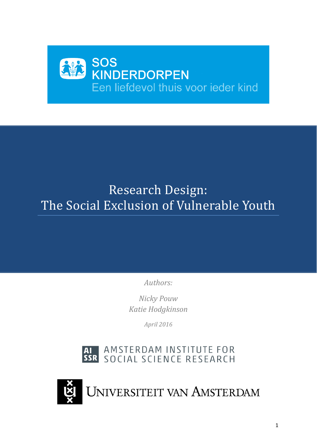# SOS<br>KINDERDORPEN Een liefdevol thuis voor ieder kind

# Research Design: The Social Exclusion of Vulnerable Youth

*Authors:*

*Nicky Pouw Katie Hodgkinson*

*April 2016*

# AMSTERDAM INSTITUTE FOR AI AMSTERDAM INSTITUTE FOR<br>SSR SOCIAL SCIENCE RESEARCH

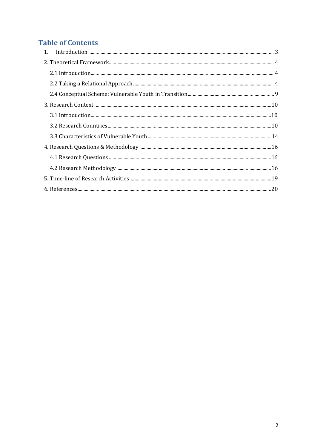# **Table of Contents**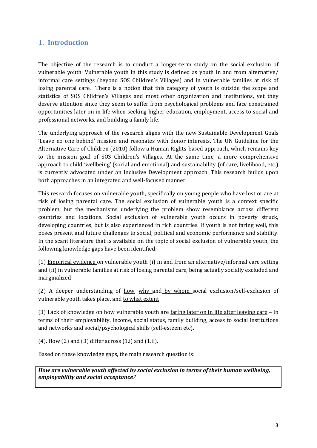# <span id="page-2-0"></span>**1. Introduction**

The objective of the research is to conduct a longer-term study on the social exclusion of vulnerable youth. Vulnerable youth in this study is defined as youth in and from alternative/ informal care settings (beyond SOS Children's Villages) and in vulnerable families at risk of losing parental care. There is a notion that this category of youth is outside the scope and statistics of SOS Children's Villages and most other organization and institutions, yet they deserve attention since they seem to suffer from psychological problems and face constrained opportunities later on in life when seeking higher education, employment, access to social and professional networks, and building a family life.

The underlying approach of the research aligns with the new Sustainable Development Goals 'Leave no one behind' mission and resonates with donor interests. The UN Guideline for the Alternative Care of Children (2010) follow a Human Rights-based approach, which remains key to the mission goal of SOS Children's Villages. At the same time, a more comprehensive approach to child 'wellbeing' (social and emotional) and sustainability (of care, livelihood, etc.) is currently advocated under an Inclusive Development approach. This research builds upon both approaches in an integrated and well-focused manner.

This research focuses on vulnerable youth, specifically on young people who have lost or are at risk of losing parental care. The social exclusion of vulnerable youth is a context specific problem, but the mechanisms underlying the problem show resemblance across different countries and locations. Social exclusion of vulnerable youth occurs in poverty struck, developing countries, but is also experienced in rich countries. If youth is not faring well, this poses present and future challenges to social, political and economic performance and stability. In the scant literature that is available on the topic of social exclusion of vulnerable youth, the following knowledge gaps have been identified:

(1) Empirical evidence on vulnerable youth (i) in and from an alternative/informal care setting and (ii) in vulnerable families at risk of losing parental care, being actually socially excluded and marginalized

(2) A deeper understanding of how, why and by whom social exclusion/self-exclusion of vulnerable youth takes place, and to what extent

(3) Lack of knowledge on how vulnerable youth are faring later on in life after leaving care – in terms of their employability, income, social status, family building, access to social institutions and networks and social/psychological skills (self-esteem etc).

 $(4)$ . How  $(2)$  and  $(3)$  differ across  $(1,i)$  and  $(1.ii)$ .

Based on these knowledge gaps, the main research question is:

*How are vulnerable youth affected by social exclusion in terms of their human wellbeing, employability and social acceptance?*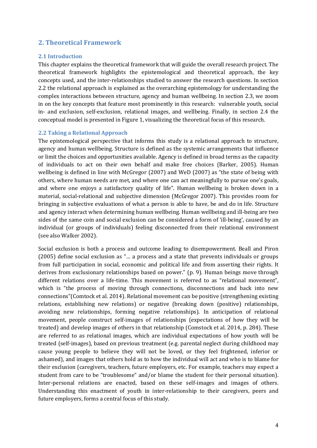# <span id="page-3-0"></span>**2. Theoretical Framework**

#### <span id="page-3-1"></span>**2.1 Introduction**

This chapter explains the theoretical framework that will guide the overall research project. The theoretical framework highlights the epistemological and theoretical approach, the key concepts used, and the inter-relationships studied to answer the research questions. In section 2.2 the relational approach is explained as the overarching epistemology for understanding the complex interactions between structure, agency and human wellbeing. In section 2.3, we zoom in on the key concepts that feature most prominently in this research: vulnerable youth, social in- and exclusion, self-exclusion, relational images, and wellbeing. Finally, in section 2.4 the conceptual model is presented in Figure 1, visualizing the theoretical focus of this research.

#### <span id="page-3-2"></span>**2.2 Taking a Relational Approach**

The epistemological perspective that informs this study is a relational approach to structure, agency and human wellbeing. Structure is defined as the systemic arrangements that influence or limit the choices and opportunities available. Agency is defined in broad terms as the capacity of individuals to act on their own behalf and make free choices (Barker, 2005). Human wellbeing is defined in line with McGregor (2007) and WeD (2007) as "the state of being with others, where human needs are met, and where one can act meaningfully to pursue one's goals, and where one enjoys a satisfactory quality of life". Human wellbeing is broken down in a material, social-relational and subjective dimension (McGregor 2007). This provides room for bringing in subjective evaluations of what a person is able to have, be and do in life. Structure and agency interact when determining human wellbeing. Human wellbeing and ill-being are two sides of the same coin and social exclusion can be considered a form of 'ill-being', caused by an individual (or groups of individuals) feeling disconnected from their relational environment (see also Walker 2002).

Social exclusion is both a process and outcome leading to disempowerment. Beall and Piron (2005) define social exclusion as "… a process and a state that prevents individuals or groups from full participation in social, economic and political life and from asserting their rights. It derives from exclusionary relationships based on power." (p. 9). Human beings move through different relations over a life-time. This movement is referred to as "relational movement", which is "the process of moving through connections, disconnections and back into new connections"(Comtock et al. 2014). Relational movement can be positive (strengthening existing relations, establishing new relations) or negative (breaking down (positive) relationships, avoiding new relationships, forming negative relationships). In anticipation of relational movement, people construct self-images of relationships (expectations of how they will be treated) and develop images of others in that relationship (Comstock et al. 2014, p. 284). These are referred to as relational images, which are individual expectations of how youth will be treated (self-images), based on previous treatment (e.g. parental neglect during childhood may cause young people to believe they will not be loved, or they feel frightened, inferior or ashamed), and images that others hold as to how the individual will act and who is to blame for their exclusion (caregivers, teachers, future employers, etc. For example, teachers may expect a student from care to be "troublesome" and/or blame the student for their personal situation). Inter-personal relations are enacted, based on these self-images and images of others. Understanding this enactment of youth in inter-relationship to their caregivers, peers and future employers, forms a central focus of this study.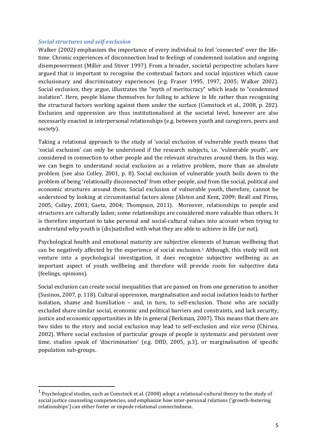#### *Social structures and self-exclusion*

Walker (2002) emphasizes the importance of every individual to feel 'connected' over the lifetime. Chronic experiences of disconnection lead to feelings of condemned isolation and ongoing disempowerment (Miller and Stiver 1997). From a broader, societal perspective scholars have argued that is important to recognise the contextual factors and social injustices which cause exclusionary and discriminatory experiences (e.g. Fraser 1995, 1997, 2005; Walker 2002). Social exclusion, they argue, illustrates the "myth of meritocracy" which leads to "condemned isolation". Here, people blame themselves for failing to achieve in life rather than recognising the structural factors working against them under the surface (Comstock et al., 2008, p. 282). Exclusion and oppression are thus institutionalised at the societal level, however are also necessarily enacted in interpersonal relationships (e.g. between youth and caregivers, peers and society).

Taking a relational approach to the study of 'social exclusion of vulnerable youth means that 'social exclusion' can only be understood if the research subjects, i.e. 'vulnerable youth', are considered in connection to other people and the relevant structures around them. In this way, we can begin to understand social exclusion as a relative problem, more than an absolute problem (see also Colley, 2001, p. 8). Social exclusion of vulnerable youth boils down to the problem of being 'relationally disconnected' from other people, and from the social, political and economic structures around them. Social exclusion of vulnerable youth, therefore, cannot be understood by looking at circumstantial factors alone (Alston and Kent, 2009; Beall and Piron, 2005; Colley, 2003; Gaetz, 2004; Thompson, 2011). Moreover, relationships to people and structures are culturally laden; some relationships are considered more valuable than others. It is therefore important to take personal and social-cultural values into account when trying to understand why youth is (dis)satisfied with what they are able to achieve in life (or not).

Psychological health and emotional maturity are subjective elements of human wellbeing that can be negatively affected by the experience of social exclusion.[1](#page-4-0) Although, this study will not venture into a psychological investigation, it does recognize subjective wellbeing as an important aspect of youth wellbeing and therefore will provide room for subjective data (feelings, opinions).

Social exclusion can create social inequalities that are passed on from one generation to another (Susinos, 2007, p. 118). Cultural oppression, marginalisation and social isolation leads to further isolation, shame and humiliation – and, in turn, to self-exclusion. Those who are socially excluded share similar social, economic and political barriers and constraints, and lack security, justice and economic opportunities in life in general (Berkman, 2007). This means that there are two sides to the story and social exclusion may lead to self-exclusion and *vice versa* (Chirwa, 2002). Where social exclusion of particular groups of people is systematic and persistent over time, studies speak of 'discrimination' (e.g. DfID, 2005, p.3), or marginalisation of specific population sub-groups.

<span id="page-4-0"></span><sup>&</sup>lt;sup>1</sup> Psychological studies, such as Comstock et al. (2008) adopt a relational-cultural theory to the study of social justice counseling competencies, and emphasize how inter-personal relations ('growth-fostering relationships') can either foster or impede relational connectedness.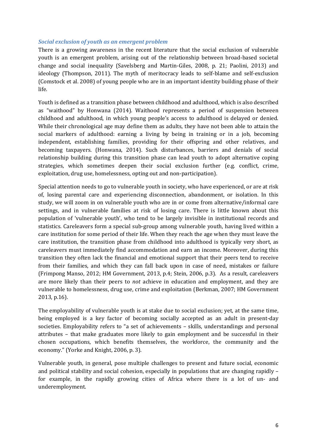#### *Social exclusion of youth as an emergent problem*

There is a growing awareness in the recent literature that the social exclusion of vulnerable youth is an emergent problem, arising out of the relationship between broad-based societal change and social inequality (Savelsberg and Martin-Giles, 2008, p. 21; Paolini, 2013) and ideology (Thompson, 2011). The myth of meritocracy leads to self-blame and self-exclusion (Comstock et al. 2008) of young people who are in an important identity building phase of their life.

Youth is defined as a transition phase between childhood and adulthood, which is also described as "waithood" by Honwana (2014). Waithood represents a period of suspension between childhood and adulthood, in which young people's access to adulthood is delayed or denied. While their chronological age may define them as adults, they have not been able to attain the social markers of adulthood: earning a living by being in training or in a job, becoming independent, establishing families, providing for their offspring and other relatives, and becoming taxpayers. (Honwana, 2014). Such disturbances, barriers and denials of social relationship building during this transition phase can lead youth to adopt alternative coping strategies, which sometimes deepen their social exclusion further (e.g. conflict, crime, exploitation, drug use, homelessness, opting out and non-participation).

Special attention needs to go to vulnerable youth in society, who have experienced, or are at risk of, losing parental care and experiencing disconnection, abandonment, or isolation. In this study, we will zoom in on vulnerable youth who are in or come from alternative/informal care settings, and in vulnerable families at risk of losing care. There is little known about this population of 'vulnerable youth', who tend to be largely invisible in institutional records and statistics. Careleavers form a special sub-group among vulnerable youth, having lived within a care institution for some period of their life. When they reach the age when they must leave the care institution, the transition phase from childhood into adulthood is typically very short, as careleavers must immediately find accommodation and earn an income. Moreover, during this transition they often lack the financial and emotional support that their peers tend to receive from their families, and which they can fall back upon in case of need, mistakes or failure (Frimpong Manso, 2012; HM Government, 2013, p.4; Stein, 2006, p.3). As a result, careleavers are more likely than their peers to *not* achieve in education and employment, and they are vulnerable to homelessness, drug use, crime and exploitation (Berkman, 2007; HM Government 2013, p.16).

The employability of vulnerable youth is at stake due to social exclusion; yet, at the same time, being employed is a key factor of becoming socially accepted as an adult in present-day societies. Employability refers to "a set of achievements – skills, understandings and personal attributes – that make graduates more likely to gain employment and be successful in their chosen occupations, which benefits themselves, the workforce, the community and the economy." (Yorke and Knight, 2006, p. 3).

Vulnerable youth, in general, pose multiple challenges to present and future social, economic and political stability and social cohesion, especially in populations that are changing rapidly – for example, in the rapidly growing cities of Africa where there is a lot of un- and underemployment.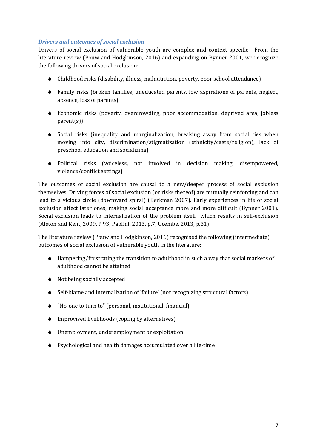#### *Drivers and outcomes of social exclusion*

Drivers of social exclusion of vulnerable youth are complex and context specific. From the literature review (Pouw and Hodgkinson, 2016) and expanding on Bynner 2001, we recognize the following drivers of social exclusion:

- Childhood risks (disability, illness, malnutrition, poverty, poor school attendance)
- Family risks (broken families, uneducated parents, low aspirations of parents, neglect, absence, loss of parents)
- Economic risks (poverty, overcrowding, poor accommodation, deprived area, jobless parent(s))
- Social risks (inequality and marginalization, breaking away from social ties when moving into city, discrimination/stigmatization (ethnicity/caste/religion), lack of preschool education and socializing)
- Political risks (voiceless, not involved in decision making, disempowered, violence/conflict settings)

The outcomes of social exclusion are causal to a new/deeper process of social exclusion themselves. Driving forces of social exclusion (or risks thereof) are mutually reinforcing and can lead to a vicious circle (downward spiral) (Berkman 2007). Early experiences in life of social exclusion affect later ones, making social acceptance more and more difficult (Bynner 2001). Social exclusion leads to internalization of the problem itself which results in self-exclusion (Alston and Kent, 2009. P.93; Paolini, 2013, p.7; Ucembe, 2013, p.31).

The literature review (Pouw and Hodgkinson, 2016) recognised the following (intermediate) outcomes of social exclusion of vulnerable youth in the literature:

- Hampering/frustrating the transition to adulthood in such a way that social markers of adulthood cannot be attained
- $\bullet$  Not being socially accepted
- Self-blame and internalization of 'failure' (not recognizing structural factors)
- "No-one to turn to" (personal, institutional, financial)
- Improvised livelihoods (coping by alternatives)
- Unemployment, underemployment or exploitation
- Psychological and health damages accumulated over a life-time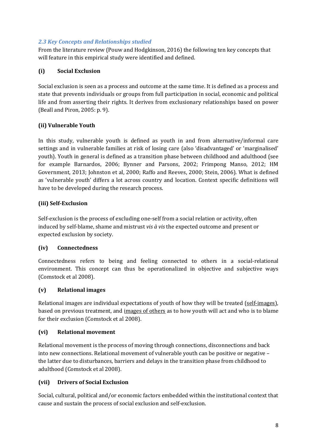#### *2.3 Key Concepts and Relationships studied*

From the literature review (Pouw and Hodgkinson, 2016) the following ten key concepts that will feature in this empirical study were identified and defined.

# **(i) Social Exclusion**

Social exclusion is seen as a process and outcome at the same time. It is defined as a process and state that prevents individuals or groups from full participation in social, economic and political life and from asserting their rights. It derives from exclusionary relationships based on power (Beall and Piron, 2005: p. 9).

#### **(ii) Vulnerable Youth**

In this study, vulnerable youth is defined as youth in and from alternative/informal care settings and in vulnerable families at risk of losing care (also 'disadvantaged' or 'marginalised' youth). Youth in general is defined as a transition phase between childhood and adulthood (see for example Barnardos, 2006; Bynner and Parsons, 2002; Frimpong Manso, 2012; HM Government, 2013; Johnston et al, 2000; Raffo and Reeves, 2000; Stein, 2006). What is defined as 'vulnerable youth' differs a lot across country and location. Context specific definitions will have to be developed during the research process.

#### **(iii) Self-Exclusion**

Self-exclusion is the process of excluding one-self from a social relation or activity, often induced by self-blame, shame and mistrust *vis à vis* the expected outcome and present or expected exclusion by society.

#### **(iv) Connectedness**

Connectedness refers to being and feeling connected to others in a social-relational environment. This concept can thus be operationalized in objective and subjective ways (Comstock et al 2008).

#### **(v) Relational images**

Relational images are individual expectations of youth of how they will be treated (self-images), based on previous treatment, and images of others as to how youth will act and who is to blame for their exclusion (Comstock et al 2008).

#### **(vi) Relational movement**

Relational movement is the process of moving through connections, disconnections and back into new connections. Relational movement of vulnerable youth can be positive or negative – the latter due to disturbances, barriers and delays in the transition phase from childhood to adulthood (Comstock et al 2008).

#### **(vii) Drivers of Social Exclusion**

Social, cultural, political and/or economic factors embedded within the institutional context that cause and sustain the process of social exclusion and self-exclusion.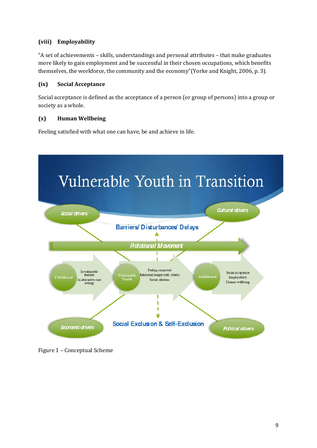# **(viii) Employability**

"A set of achievements – skills, understandings and personal attributes – that make graduates more likely to gain employment and be successful in their chosen occupations, which benefits themselves, the workforce, the community and the economy"(Yorke and Knight, 2006, p. 3).

# **(ix) Social Acceptance**

Social acceptance is defined as the acceptance of a person (or group of persons) into a group or society as a whole.

# **(x) Human Wellbeing**

Feeling satisfied with what one can have, be and achieve in life.

<span id="page-8-0"></span>

Figure 1 – Conceptual Scheme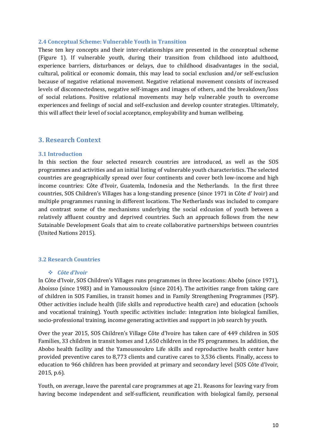#### **2.4 Conceptual Scheme: Vulnerable Youth in Transition**

These ten key concepts and their inter-relationships are presented in the conceptual scheme (Figure 1). If vulnerable youth, during their transition from childhood into adulthood, experience barriers, disturbances or delays, due to childhood disadvantages in the social, cultural, political or economic domain, this may lead to social exclusion and/or self-exclusion because of negative relational movement. Negative relational movement consists of increased levels of disconnectedness, negative self-images and images of others, and the breakdown/loss of social relations. Positive relational movements may help vulnerable youth to overcome experiences and feelings of social and self-exclusion and develop counter strategies. Ultimately, this will affect their level of social acceptance, employability and human wellbeing.

#### <span id="page-9-0"></span>**3. Research Context**

#### <span id="page-9-1"></span>**3.1 Introduction**

In this section the four selected research countries are introduced, as well as the SOS programmes and activities and an initial listing of vulnerable youth characteristics. The selected countries are geographically spread over four continents and cover both low-income and high income countries: Côte d'Ivoir, Guatemla, Indonesia and the Netherlands. In the first three countries, SOS Children's Villages has a long-standing presence (since 1971 in Côte d' Ivoir) and multiple programmes running in different locations. The Netherlands was included to compare and contrast some of the mechanisms underlying the social exlcusion of youth between a relatively affluent country and deprived countries. Such an approach follows from the new Sutainable Development Goals that aim to create collaborative partnerships between countries (United Nations 2015).

#### <span id="page-9-2"></span>**3.2 Research Countries**

#### *Côte d'Ivoir*

In Côte d'Ivoir, SOS Children's Villages runs programmes in three locations: Abobo (since 1971), Aboisso (since 1983) and in Yamoussoukro (since 2014). The activities range from taking care of children in SOS Families, in transit homes and in Family Strengthening Programmes (FSP). Other activities include health (life skills and reproductive health care) and education (schools and vocational training). Youth specific activities include: integration into biological families, socio-professional training, income generating activities and support in job search by youth.

Over the year 2015, SOS Children's Village Côte d'Ivoire has taken care of 449 children in SOS Families, 33 children in transit homes and 1,650 children in the FS programmes. In addition, the Abobo health facility and the Yamoussoukro Life skills and reproductive health center have provided preventive cares to 8,773 clients and curative cares to 3,536 clients. Finally, access to education to 966 children has been provided at primary and secondary level (SOS Côte d'Ivoir, 2015, p.6).

Youth, on average, leave the parental care programmes at age 21. Reasons for leaving vary from having become independent and self-sufficient, reunification with biological family, personal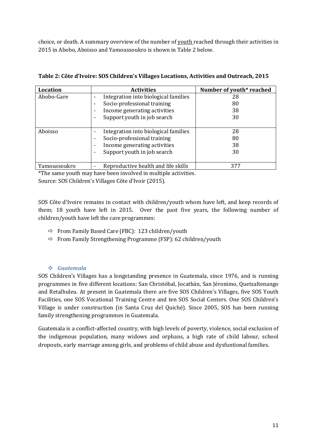choice, or death. A summary overview of the number of youth reached through their activities in 2015 in Abobo, Aboisso and Yamoussoukro is shown in Table 2 below.

| <b>Location</b> | <b>Activities</b>                                                | Number of youth* reached |
|-----------------|------------------------------------------------------------------|--------------------------|
| Abobo-Gare      | Integration into biological families<br>$\overline{\phantom{0}}$ | 28                       |
|                 | Socio-professional training<br>٠                                 | 80                       |
|                 | Income generating activities<br>٠                                | 38                       |
|                 | Support youth in job search<br>٠                                 | 30                       |
|                 |                                                                  |                          |
| Aboisso         | Integration into biological families<br>٠                        | 28                       |
|                 | Socio-professional training<br>٠                                 | 80                       |
|                 | Income generating activities<br>٠                                | 38                       |
|                 | Support youth in job search<br>٠                                 | 30                       |
|                 |                                                                  |                          |
| Yamoussoukro    | Reproductive health and life skills                              | 377                      |

#### **Table 2: Côte d'Ivoire: SOS Children's Villages Locations, Activities and Outreach, 2015**

\*The same youth may have been involved in multiple activities. Source: SOS Children's Villages Côte d'Ivoir (2015).

SOS Côte d'Ivoire remains in contact with children/youth whom have left, and keep records of them; 18 youth have left in 2015. Over the past five years, the following number of children/youth have left the care programmes:

- $\Rightarrow$  From Family Based Care (FBC): 123 children/youth
- $\Rightarrow$  From Family Strengthening Programme (FSP): 62 children/youth

# *Guatemala*

SOS Children's Villages has a longstanding presence in Guatemala, since 1976, and is running programmes in five different locations: San Christóbal, Jocathán, San Jéronimo, Quetzaltenango and Retalhuleu. At present in Guatemala there are five SOS Children's Villages, five SOS Youth Facilities, one SOS Vocational Training Centre and ten SOS Social Centers. One SOS Children's Village is under construction (in Santa Cruz del Quiché). Since 2005, SOS has been running family strengthening programmes in Guatemala.

Guatemala is a conflict-affected country, with high levels of poverty, violence, social exclusion of the indigenous population, many widows and orphans, a high rate of child labour, school dropouts, early marriage among girls, and problems of child abuse and dysfuntional families.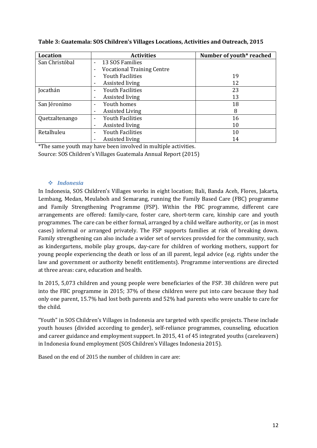| <b>Location</b> | <b>Activities</b>                                             | Number of youth* reached |
|-----------------|---------------------------------------------------------------|--------------------------|
| San Christóbal  | 13 SOS Families<br>$\blacksquare$                             |                          |
|                 | <b>Vocational Training Centre</b><br>$\overline{\phantom{0}}$ |                          |
|                 | <b>Youth Facilities</b><br>$\blacksquare$                     | 19                       |
|                 | Assisted living<br>۰                                          | 12                       |
| Jocathán        | <b>Youth Facilities</b><br>$\overline{\phantom{0}}$           | 23                       |
|                 | Assisted living<br>$\overline{\phantom{0}}$                   | 13                       |
| San Jéronimo    | Youth homes<br>$\blacksquare$                                 | 18                       |
|                 | <b>Assisted Living</b><br>٠                                   | 8                        |
| Quetzaltenango  | <b>Youth Facilities</b><br>٠                                  | 16                       |
|                 | Assisted living<br>٠                                          | 10                       |
| Retalhuleu      | <b>Youth Facilities</b><br>$\blacksquare$                     | 10                       |
|                 | Assisted living<br>٠                                          | 14                       |

**Table 3: Guatemala: SOS Children's Villages Locations, Activities and Outreach, 2015**

\*The same youth may have been involved in multiple activities. Source: SOS Children's Villages Guatemala Annual Report (2015)

#### *Indonesia*

In Indonesia, SOS Children's Villages works in eight location; Bali, Banda Aceh, Flores, Jakarta, Lembang, Medan, Meulaboh and Semarang, running the Family Based Care (FBC) programme and Family Strengthening Programme (FSP). Within the FBC programme, different care arrangements are offered: family-care, foster care, short-term care, kinship care and youth programmes. The care can be either formal, arranged by a child welfare authority, or (as in most cases) informal or arranged privately. The FSP supports families at risk of breaking down. Family strengthening can also include a wider set of services provided for the community, such as kindergartens, mobile play groups, day-care for children of working mothers, support for young people experiencing the death or loss of an ill parent, legal advice (e.g. rights under the law and government or authority benefit entitlements). Programme interventions are directed at three areas: care, education and health.

In 2015, 5,073 children and young people were beneficiaries of the FSP. 38 children were put into the FBC programme in 2015; 37% of these children were put into care because they had only one parent, 15.7% had lost both parents and 52% had parents who were unable to care for the child.

"Youth" in SOS Children's Villages in Indonesia are targeted with specific projects. These include youth houses (divided according to gender), self-reliance programmes, counseling, education and career guidance and employment support. In 2015, 41 of 45 integrated youths (careleavers) in Indonesia found employment (SOS Children's Villages Indonesia 2015).

Based on the end of 2015 the number of children in care are: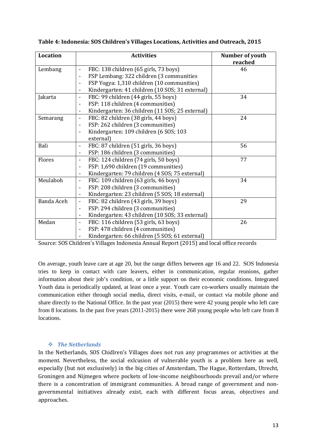| <b>Location</b> | <b>Activities</b>                                                          | Number of youth<br>reached |
|-----------------|----------------------------------------------------------------------------|----------------------------|
| Lembang         | FBC: 138 children (65 girls, 73 boys)                                      | 46                         |
|                 | FSP Lembang: 322 children (3 communities<br>$\overline{\phantom{a}}$       |                            |
|                 | FSP Yogya: 1,310 children (10 communities)                                 |                            |
|                 | Kindergarten: 41 children (10 SOS; 31 external)                            |                            |
| Jakarta         | FBC: 99 children (44 girls, 55 boys)<br>$\overline{\phantom{a}}$           | 34                         |
|                 | FSP: 118 children (4 communities)<br>$\overline{\phantom{a}}$              |                            |
|                 | Kindergarten: 36 children (11 SOS; 25 external)                            |                            |
| Semarang        | FBC: 82 children (38 girls, 44 boys)                                       | 24                         |
|                 | FSP: 262 children (3 communities)                                          |                            |
|                 | Kindergarten: 109 children (6 SOS; 103<br>$\blacksquare$                   |                            |
|                 | external)                                                                  |                            |
| Bali            | FBC: 87 children (51 girls, 36 boys)                                       | 56                         |
|                 | FSP: 186 children (3 communities)<br>$\overline{\phantom{a}}$              |                            |
| Flores          | FBC: 124 children (74 girls, 50 boys)<br>$\overline{\phantom{a}}$          | 77                         |
|                 | FSP: 1,690 children (19 communities)                                       |                            |
|                 | Kindergarten: 79 children (4 SOS; 75 external)<br>$\overline{\phantom{a}}$ |                            |
| Meulaboh        | FBC: 109 children (63 girls, 46 boys)<br>$\overline{\phantom{a}}$          | 34                         |
|                 | FSP: 208 children (3 communities)<br>$\overline{\phantom{a}}$              |                            |
|                 | Kindergarten: 23 children (5 SOS; 18 external)                             |                            |
| Banda Aceh      | FBC: 82 children (43 girls, 39 boys)<br>$\blacksquare$                     | 29                         |
|                 | FSP: 294 children (3 communities)<br>$\blacksquare$                        |                            |
|                 | Kindergarten: 43 children (10 SOS; 33 external)                            |                            |
| Medan           | FBC: 116 children (53 girls, 63 boys)                                      | 26                         |
|                 | FSP: 478 children (4 communities)<br>$\overline{\phantom{a}}$              |                            |
|                 | Kindergarten: 66 children (5 SOS; 61 external)                             |                            |

| Table 4: Indonesia: SOS Children's Villages Locations, Activities and Outreach, 2015 |
|--------------------------------------------------------------------------------------|
|--------------------------------------------------------------------------------------|

Source: SOS Children's Villages Indonesia Annual Report (2015) and local office records

On average, youth leave care at age 20, but the range differs between age 16 and 22. SOS Indonesia tries to keep in contact with care leavers, either in communication, regular reunions, gather information about their job's condition, or a little support on their economic conditions. Integrated Youth data is periodically updated, at least once a year. Youth care co-workers usually maintain the communication either through social media, direct visits, e-mail, or contact via mobile phone and share directly to the National Office. In the past year (2015) there were 42 young people who left care from 8 locations. In the past five years (2011-2015) there were 268 young people who left care from 8 locations.

#### *The Netherlands*

In the Netherlands, SOS Chidlren's Villages does not run any programmes or activities at the moment. Nevertheless, the social exlcusion of vulnerable youth is a problem here as well, especially (but not exclusively) in the big cities of Amsterdam, The Hague, Rotterdam, Utrecht, Groningen and Nijmegen where pockets of low-income neighbourhoods prevail and/or where there is a concentration of immigrant communities. A broad range of government and nongovernmental initiatives already exist, each with different focus areas, objectives and approaches.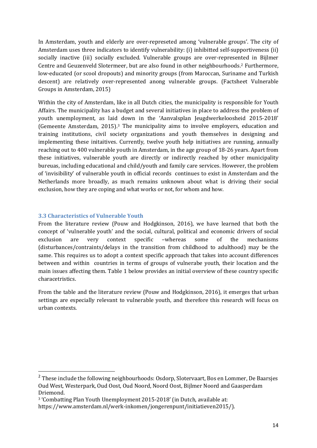In Amsterdam, youth and elderly are over-represeted among 'vulnerable groups'. The city of Amsterdam uses three indicators to identify vulnerability: (i) inhibitted self-supportiveness (ii) socially inactive (iii) socially excluded. Vulnerable groups are over-represented in Bijlmer Centre and Geuzenveld Slotermeer, but are also found in other neighbourhoods.[2](#page-13-1) Furthermore, low-educated (or scool dropouts) and minority groups (from Maroccan, Suriname and Turkish descent) are relatively over-represented anong vulnerable groups. (Factsheet Vulnerable Groups in Amsterdam, 2015)

Within the city of Amsterdam, like in all Dutch cities, the municipality is responsible for Youth Affairs. The municipality has a budget and several initiatives in place to address the problem of youth unemployment, as laid down in the 'Aanvalsplan Jeugdwerkeloosheid 2015-2018' (Gemeente Amsterdam, 2015).[3](#page-13-2) The municipality aims to involve employers, education and training institutions, civil society organizations and youth themselves in designing and implementing these initaitives. Currently, twelve youth help initiatives are running, annually reaching out to 400 vulnerable youth in Amsterdam, in the age group of 18-26 years. Apart from these initiatives, vulnerable youth are directly or indirectly reached by other municipality bureuas, including educational and child/youth and family care services. However, the problem of 'invisibility' of vulnerable youth in official records continues to exist in Amsterdam and the Netherlands more broadly, as much remains unknown about what is driving their social exclusion, how they are coping and what works or not, for whom and how.

#### <span id="page-13-0"></span>**3.3 Characteristics of Vulnerable Youth**

From the literature review (Pouw and Hodgkinson, 2016), we have learned that both the concept of 'vulnerable youth' and the social, cultural, political and economic drivers of social exclusion are very context specific –whereas some of the mechanisms (disturbances/contraints/delays in the transition from childhood to adulthood) may be the same. This requires us to adopt a context specific approach that takes into account differences between and within countries in terms of groups of vulnerabe youth, their location and the main issues affecting them. Table 1 below provides an initial overview of these country specific characetristics.

From the table and the literature review (Pouw and Hodgkinson, 2016), it emerges that urban settings are especially relevant to vulnerable youth, and therefore this research will focus on urban contexts.

<span id="page-13-1"></span> $2$  These include the following neighbourhoods: Osdorp, Slotervaart, Bos en Lommer, De Baarsjes Oud West, Westerpark, Oud Oost, Oud Noord, Noord Oost, Bijlmer Noord and Gaasperdam Driemond.

<span id="page-13-2"></span><sup>3</sup> 'Combatting Plan Youth Unemployment 2015-2018' (in Dutch, available at:

https://www.amsterdam.nl/werk-inkomen/jongerenpunt/initiatieven2015/).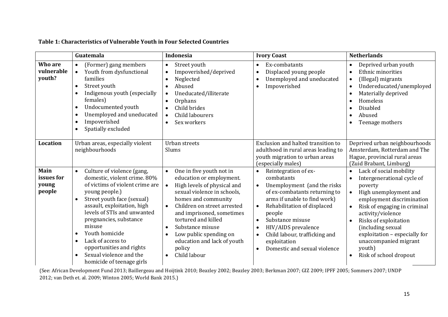### **Table 1: Characteristics of Vulnerable Youth in Four Selected Countries**

|                                       | Guatemala                                                                                                                                                                                                                                                                                                                                                                                                                      | <b>Indonesia</b>                                                                                                                                                                                                                                                                                                                                                                                     | <b>Ivory Coast</b>                                                                                                                                                                                                                                                                                                                                                       | <b>Netherlands</b>                                                                                                                                                                                                                                                                                                                                             |
|---------------------------------------|--------------------------------------------------------------------------------------------------------------------------------------------------------------------------------------------------------------------------------------------------------------------------------------------------------------------------------------------------------------------------------------------------------------------------------|------------------------------------------------------------------------------------------------------------------------------------------------------------------------------------------------------------------------------------------------------------------------------------------------------------------------------------------------------------------------------------------------------|--------------------------------------------------------------------------------------------------------------------------------------------------------------------------------------------------------------------------------------------------------------------------------------------------------------------------------------------------------------------------|----------------------------------------------------------------------------------------------------------------------------------------------------------------------------------------------------------------------------------------------------------------------------------------------------------------------------------------------------------------|
| Who are<br>vulnerable<br>youth?       | (Former) gang members<br>$\bullet$<br>Youth from dysfunctional<br>$\bullet$<br>families<br>Street youth<br>$\bullet$<br>Indigenous youth (especially<br>females)<br>Undocumented youth<br>$\bullet$<br>Unemployed and uneducated<br>$\bullet$<br>Impoverished<br>Spatially excluded<br>$\bullet$                                                                                                                               | Street youth<br>$\bullet$<br>Impoverished/deprived<br>$\bullet$<br>Neglected<br>$\bullet$<br>Abused<br>$\bullet$<br>Uneducated/illiterate<br>$\bullet$<br>Orphans<br>$\bullet$<br>Child brides<br>$\bullet$<br>Child labourers<br>$\bullet$<br>Sex workers<br>$\bullet$                                                                                                                              | Ex-combatants<br>Displaced young people<br>$\bullet$<br>Unemployed and uneducated<br>$\bullet$<br>Impoverished<br>$\bullet$                                                                                                                                                                                                                                              | Deprived urban youth<br>Ethnic minorities<br>$\bullet$<br>(Illegal) migrants<br>Undereducated/unemployed<br>Materially deprived<br>Homeless<br><b>Disabled</b><br>Abused<br>$\bullet$<br>Teenage mothers                                                                                                                                                       |
| Location                              | Urban areas, especially violent<br>neighbourhoods                                                                                                                                                                                                                                                                                                                                                                              | Urban streets<br>Slums                                                                                                                                                                                                                                                                                                                                                                               | Exclusion and halted transition to<br>adulthood in rural areas leading to<br>youth migration to urban areas<br>(especially males)                                                                                                                                                                                                                                        | Deprived urban neighbourhoods<br>Amsterdam, Rotterdam and The<br>Hague, provincial rural areas<br>(Zuid Brabant, Limburg)                                                                                                                                                                                                                                      |
| Main<br>issues for<br>young<br>people | Culture of violence (gang,<br>$\bullet$<br>domestic, violent crime. 80%<br>of victims of violent crime are<br>young people.)<br>Street youth face (sexual)<br>$\bullet$<br>assault, exploitation, high<br>levels of STIs and unwanted<br>pregnancies, substance<br>misuse<br>Youth homicide<br>Lack of access to<br>$\bullet$<br>opportunities and rights<br>Sexual violence and the<br>$\bullet$<br>homicide of teenage girls | One in five youth not in<br>$\bullet$<br>education or employment.<br>High levels of physical and<br>sexual violence in schools,<br>homes and community<br>Children on street arrested<br>$\bullet$<br>and imprisoned, sometimes<br>tortured and killed<br>Substance misuse<br>$\bullet$<br>Low public spending on<br>$\bullet$<br>education and lack of youth<br>policy<br>Child labour<br>$\bullet$ | Reintegration of ex-<br>combatants<br>Unemployment (and the risks<br>of ex-combatants returning to<br>arms if unable to find work)<br>Rehabilitation of displaced<br>$\bullet$<br>people<br>Substance misuse<br>$\bullet$<br>HIV/AIDS prevalence<br>$\bullet$<br>Child labour, trafficking and<br>$\bullet$<br>exploitation<br>Domestic and sexual violence<br>$\bullet$ | Lack of social mobility<br>Intergenerational cycle of<br>poverty<br>High unemployment and<br>$\bullet$<br>employment discrimination<br>Risk of engaging in criminal<br>$\bullet$<br>activity/violence<br>Risks of exploitation<br>(including sexual<br>exploitation - especially for<br>unaccompanied migrant<br>youth)<br>Risk of school dropout<br>$\bullet$ |

(See: African Development Fund 2013; Baillergeau and Hoijtink 2010; Beazley 2002; Beazley 2003; Berkman 2007; GIZ 2009; IPFF 2005; Sommers 2007; UNDP 2012; van Deth et. al. 2009; Winton 2005; World Bank 2015.)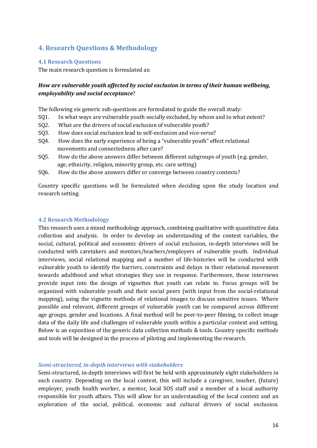# <span id="page-15-0"></span>**4. Research Questions & Methodology**

#### <span id="page-15-1"></span>**4.1 Research Questions**

The main research question is formulated as:

#### *How are vulnerable youth affected by social exclusion in terms of their human wellbeing, employability and social acceptance*?

The following six generic sub-questions are formulated to guide the overall study:

- SQ1. In what ways are vulnerable youth socially excluded, by whom and to what extent?
- SQ2. What are the drivers of social exclusion of vulnerable youth?
- SQ3. How does social exclusion lead to self-exclusion and *vice-versa*?
- SQ4. How does the early experience of being a "vulnerable youth" effect relational movements and connectedness after care?
- SQ5. How do the above answers differ between different subgroups of youth (e.g. gender, age, ethnicity, religion, minority group, etc. care setting)
- SQ6. How do the above answers differ or converge between country contexts?

Country specific questions will be formulated when deciding upon the study location and research setting.

#### <span id="page-15-2"></span>**4.2 Research Methodology**

This research uses a mixed methodology approach, combining qualitative with quantitative data collection and analysis. In order to develop an understanding of the context variables, the social, cultural, political and economic drivers of social exclusion, in-depth interviews will be conducted with caretakers and mentors/teachers/employers of vulnerable youth. Individual interviews, social relational mapping and a number of life-histories will be conducted with vulnerable youth to identify the barriers, constraints and delays in their relational movement towards adulthood and what strategies they use in response. Furthermore, these interviews provide input into the design of vignettes that youth can relate to. Focus groups will be organized with vulnerable youth and their social peers (with input from the social-relational mapping), using the vignette methods of relational images to discuss sensitive issues. Where possible and relevant, different groups of vulnerable youth can be compared across different age groups, gender and locations. A final method will be peer-to-peer filming, to collect image data of the daily life and challenges of vulnerable youth within a particular context and setting. Below is an exposition of the generic data collection methods & tools. Country specific methods and tools will be designed in the process of piloting and implementing the research.

#### *Semi-structured, in-depth interviews with stakeholders*

Semi-structured, in-depth interviews will first be held with approximately eight stakeholders in each country. Depending on the local context, this will include a caregiver, teacher, (future) employer, youth health worker, a mentor, local SOS staff and a member of a local authority responsible for youth affairs. This will allow for an understanding of the local context and an exploration of the social, political, economic and cultural drivers of social exclusion.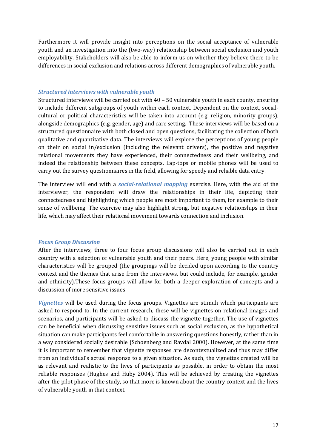Furthermore it will provide insight into perceptions on the social acceptance of vulnerable youth and an investigation into the (two-way) relationship between social exclusion and youth employability. Stakeholders will also be able to inform us on whether they believe there to be differences in social exclusion and relations across different demographics of vulnerable youth.

#### *Structured interviews with vulnerable youth*

Structured interviews will be carried out with 40 – 50 vulnerable youth in each county, ensuring to include different subgroups of youth within each context. Dependent on the context, socialcultural or political characteristics will be taken into account (e.g. religion, minority groups), alongside demographics (e.g. gender, age) and care setting. These interviews will be based on a structured questionnaire with both closed and open questions, facilitating the collection of both qualitative and quantitative data. The interviews will explore the perceptions of young people on their on social in/exclusion (including the relevant drivers), the positive and negative relational movements they have experienced, their connectedness and their wellbeing, and indeed the relationship between these concepts. Lap-tops or mobile phones will be used to carry out the survey questionnaires in the field, allowing for speedy and reliable data entry.

The interview will end with a *social-relational mapping* exercise. Here, with the aid of the interviewer, the respondent will draw the relationships in their life, depicting their connectedness and highlighting which people are most important to them, for example to their sense of wellbeing. The exercise may also highlight strong, but negative relationships in their life, which may affect their relational movement towards connection and inclusion.

#### *Focus Group Discussion*

After the interviews, three to four focus group discussions will also be carried out in each country with a selection of vulnerable youth and their peers. Here, young people with similar characteristics will be grouped (the groupings will be decided upon according to the country context and the themes that arise from the interviews, but could include, for example, gender and ethnicity).These focus groups will allow for both a deeper exploration of concepts and a discussion of more sensitive issues

*Vignettes* will be used during the focus groups. Vignettes are stimuli which participants are asked to respond to. In the current research, these will be vignettes on relational images and scenarios, and participants will be asked to discuss the vignette together. The use of vignettes can be beneficial when discussing sensitive issues such as social exclusion, as the hypothetical situation can make participants feel comfortable in answering questions honestly, rather than in a way considered socially desirable (Schoenberg and Ravdal 2000). However, at the same time it is important to remember that vignette responses are decontextualized and thus may differ from an individual's actual response to a given situation. As such, the vignettes created will be as relevant and realistic to the lives of participants as possible, in order to obtain the most reliable responses (Hughes and Huby 2004). This will be achieved by creating the vignettes after the pilot phase of the study, so that more is known about the country context and the lives of vulnerable youth in that context.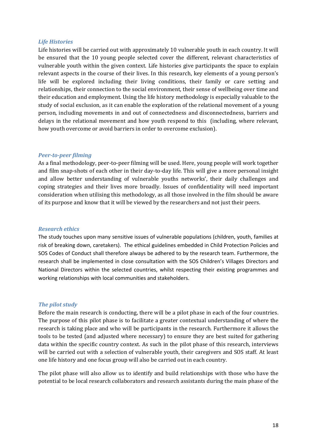#### *Life Histories*

Life histories will be carried out with approximately 10 vulnerable youth in each country. It will be ensured that the 10 young people selected cover the different, relevant characteristics of vulnerable youth within the given context. Life histories give participants the space to explain relevant aspects in the course of their lives. In this research, key elements of a young person's life will be explored including their living conditions, their family or care setting and relationships, their connection to the social environment, their sense of wellbeing over time and their education and employment. Using the life history methodology is especially valuable to the study of social exclusion, as it can enable the exploration of the relational movement of a young person, including movements in and out of connectedness and disconnectedness, barriers and delays in the relational movement and how youth respond to this (including, where relevant, how youth overcome or avoid barriers in order to overcome exclusion).

#### *Peer-to-peer filming*

As a final methodology, peer-to-peer filming will be used. Here, young people will work together and film snap-shots of each other in their day-to-day life. This will give a more personal insight and allow better understanding of vulnerable youths networks', their daily challenges and coping strategies and their lives more broadly. Issues of confidentiality will need important consideration when utilising this methodology, as all those involved in the film should be aware of its purpose and know that it will be viewed by the researchers and not just their peers.

#### *Research ethics*

The study touches upon many sensitive issues of vulnerable populations (children, youth, families at risk of breaking down, caretakers). The ethical guidelines embedded in Child Protection Policies and SOS Codes of Conduct shall therefore always be adhered to by the research team. Furthermore, the research shall be implemented in close consultation with the SOS Children's Villages Directors and National Directors within the selected countries, whilst respecting their existing programmes and working relationships with local communities and stakeholders.

#### *The pilot study*

Before the main research is conducting, there will be a pilot phase in each of the four countries. The purpose of this pilot phase is to facilitate a greater contextual understanding of where the research is taking place and who will be participants in the research. Furthermore it allows the tools to be tested (and adjusted where necessary) to ensure they are best suited for gathering data within the specific country context. As such in the pilot phase of this research, interviews will be carried out with a selection of vulnerable youth, their caregivers and SOS staff. At least one life history and one focus group will also be carried out in each country.

The pilot phase will also allow us to identify and build relationships with those who have the potential to be local research collaborators and research assistants during the main phase of the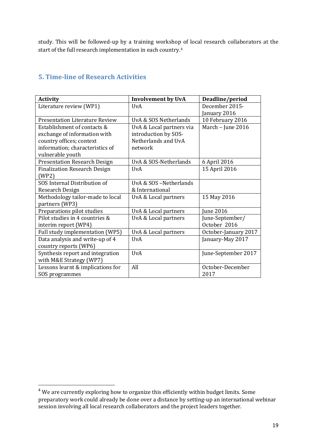study. This will be followed-up by a training workshop of local research collaborators at the start of the full research implementation in each country.[4](#page-18-1)

# <span id="page-18-0"></span>**5. Time-line of Research Activities**

| <b>Activity</b>                       | <b>Involvement by UvA</b> | Deadline/period      |
|---------------------------------------|---------------------------|----------------------|
| Literature review (WP1)               | IJvA                      | December 2015-       |
|                                       |                           | January 2016         |
| <b>Presentation Literature Review</b> | UvA & SOS Netherlands     | 10 February 2016     |
| Establishment of contacts &           | UvA & Local partners via  | March - June 2016    |
| exchange of information with          | introduction by SOS-      |                      |
| country offices; context              | Netherlands and UvA       |                      |
| information; characteristics of       | network                   |                      |
| vulnerable youth                      |                           |                      |
| <b>Presentation Research Design</b>   | UvA & SOS-Netherlands     | 6 April 2016         |
| <b>Finalization Research Design</b>   | <b>UvA</b>                | 15 April 2016        |
| (WP2)                                 |                           |                      |
| SOS Internal Distribution of          | UvA & SOS-Netherlands     |                      |
| Research Design                       | & International           |                      |
| Methodology tailor-made to local      | UvA & Local partners      | 15 May 2016          |
| partners (WP3)                        |                           |                      |
| Preparations pilot studies            | UvA & Local partners      | June 2016            |
| Pilot studies in 4 countries &        | UvA & Local partners      | June-September/      |
| interim report (WP4)                  |                           | October 2016         |
| Full study implementation (WP5)       | UvA & Local partners      | October-January 2017 |
| Data analysis and write-up of 4       | <b>UvA</b>                | January-May 2017     |
| country reports (WP6)                 |                           |                      |
| Synthesis report and integration      | <b>UvA</b>                | June-September 2017  |
| with M&E Strategy (WP7)               |                           |                      |
| Lessons learnt & implications for     | All                       | October-December     |
| SOS programmes                        |                           | 2017                 |

<span id="page-18-1"></span><sup>&</sup>lt;sup>4</sup> We are currently exploring how to organize this efficiently within budget limits. Some preparatory work could already be done over a distance by setting-up an international webinar session involving all local research collaborators and the project leaders together.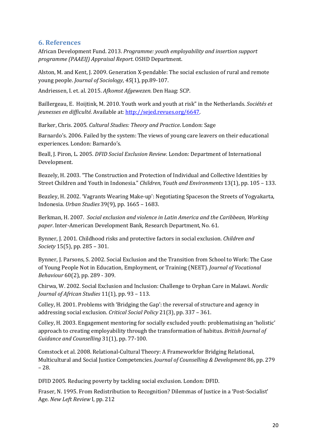# <span id="page-19-0"></span>**6. References**

African Development Fund. 2013. *Programme: youth employability and insertion support programme (PAAEIJ) Appraisal Report*. OSHD Department.

Alston, M. and Kent, J. 2009. Generation X-pendable: The social exclusion of rural and remote young people. *Journal of Sociology*, *45*(1), pp.89-107.

Andriessen, I. et. al. 2015. *Afkomst Afgewezen.* Den Haag: SCP.

Baillergeau, E. Hoijtink, M. 2010. Youth work and youth at risk" in the Netherlands. *Sociétés et jeunesses en difficulté.* Available at[: http://sejed.revues.org/6647.](http://sejed.revues.org/6647)

Barker, Chris. 2005. *Cultural Studies: Theory and Practice*. London: Sage

Barnardo's. 2006. Failed by the system: The views of young care leavers on their educational experiences. London: Barnardo's.

Beall, J. Piron, L. 2005. *DFID Social Exclusion Review.* London: Department of International Development.

Beazely, H. 2003. "The Construction and Protection of Individual and Collective Identities by Street Children and Youth in Indonesia." *Children, Youth and Environments* 13(1), pp. 105 – 133.

Beazley, H. 2002. 'Vagrants Wearing Make-up': Negotiating Spaceson the Streets of Yogyakarta, Indonesia. *Urban Studies* 39(9), pp. 1665 – 1683.

Berkman, H. 2007. *Social exclusion and violence in Latin America and the Caribbean, Working paper*. Inter-American Development Bank, Research Department, No. 61.

Bynner, J. 2001. Childhood risks and protective factors in social exclusion. *Children and Society* 15(5), pp. 285 – 301.

Bynner, J. Parsons, S. 2002. Social Exclusion and the Transition from School to Work: The Case of Young People Not in Education, Employment, or Training (NEET). *Journal of Vocational Behaviour* 60(2), pp. 289 - 309.

Chirwa, W. 2002. Social Exclusion and Inclusion: Challenge to Orphan Care in Malawi. *Nordic Journal of African Studies* 11(1), pp. 93 – 113.

Colley, H. 2001. Problems with 'Bridging the Gap': the reversal of structure and agency in addressing social exclusion. *Critical Social Policy* 21(3), pp. 337 – 361.

Colley, H. 2003. Engagement mentoring for socially excluded youth: problematising an 'holistic' approach to creating employability through the transformation of habitus. *British Journal of Guidance and Counselling* 31(1), pp. 77-100.

Comstock et al. 2008. Relational-Cultural Theory: A Frameworkfor Bridging Relational, Multicultural and Social Justice Competencies. *Journal of Counselling & Development* 86, pp. 279 – 28.

DFID 2005. Reducing poverty by tackling social exclusion. London: DFID.

Fraser, N. 1995. From Redistribution to Recognition? Dilemmas of Justice in a 'Post-Socialist' Age. *New Left Review* I, pp. 212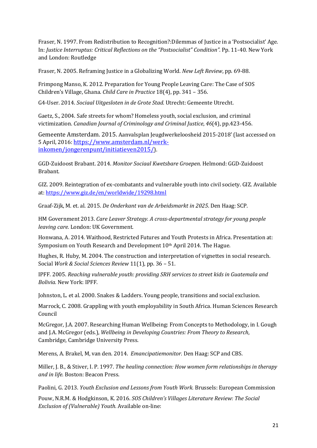Fraser, N. 1997. From Redistribution to Recognition?:Dilemmas of Justice in a 'Postsocialist' Age. In: *Justice Interruptus: Critical Reflections on the "Postsocialist" Condition".* Pp. 11-40. New York and London: Routledge

Fraser, N. 2005. Reframing Justice in a Globalizing World. *New Left Review*, pp. 69-88.

Frimpong Manso, K. 2012. Preparation for Young People Leaving Care: The Case of SOS Children's Village, Ghana. *Child Care in Practice* 18(4), pp. 341 – 356.

G4-User. 2014. *Sociaal Uitgesloten in de Grote Stad*. Utrecht: Gemeente Utrecht.

Gaetz, S., 2004. Safe streets for whom? Homeless youth, social exclusion, and criminal victimization. *Canadian Journal of Criminology and Criminal Justice*, *46*(4), pp.423-456.

Gemeente Amsterdam. 2015. Aanvalsplan Jeugdwerkeloosheid 2015-2018' (last accessed on 5 April, 2016[: https://www.amsterdam.nl/werk](https://www.amsterdam.nl/werk-inkomen/jongerenpunt/initiatieven2015/)[inkomen/jongerenpunt/initiatieven2015/\)](https://www.amsterdam.nl/werk-inkomen/jongerenpunt/initiatieven2015/).

GGD-Zuidoost Brabant. 2014. *Monitor Sociaal Kwetsbare Groepen.* Helmond: GGD-Zuidoost Brabant.

GIZ. 2009. Reintegration of ex-combatants and vulnerable youth into civil society. GIZ. Available at[: https://www.giz.de/en/worldwide/19298.html](https://www.giz.de/en/worldwide/19298.html)

Graaf-Zijk, M. et. al. 2015. *De Onderkant van de Arbeidsmarkt in 2025*. Den Haag: SCP.

HM Government 2013. *Care Leaver Strategy. A cross-departmental strategy for young people leaving care.* London: UK Government.

Honwana, A. 2014. Waithood, Restricted Futures and Youth Protests in Africa. Presentation at: Symposium on Youth Research and Development 10th April 2014. The Hague.

Hughes, R. Huby, M. 2004. The construction and interpretation of vignettes in social research. Social *Work & Social Sciences Review* 11(1), pp. 36 – 51.

IPFF. 2005. *Reaching vulnerable youth: providing SRH services to street kids in Guatemala and Bolivia.* New York: IPFF.

Johnston, L. et al. 2000. Snakes & Ladders. Young people, transitions and social exclusion.

Marrock, C. 2008. Grappling with youth employability in South Africa. Human Sciences Research Council

McGregor, J.A. 2007. Researching Human Wellbeing: From Concepts to Methodology, in I. Gough and J.A. McGregor (eds.), *Wellbeing in Developing Countries: From Theory to Research*, Cambridge, Cambridge University Press.

Merens, A. Brakel, M, van den*.* 2014. *Emancipatiemonitor.* Den Haag: SCP and CBS.

Miller, J. B., & Stiver, I. P. 1997. *The healing connection: How women form relationships in therapy and in life.* Boston: Beacon Press.

Paolini, G. 2013. *Youth Exclusion and Lessons from Youth Work.* Brussels: European Commission

Pouw, N.R.M. & Hodgkinson, K. 2016. *SOS Children's Villages Literature Review: The Social Exclusion of (Vulnerable) Youth.* Available on-line: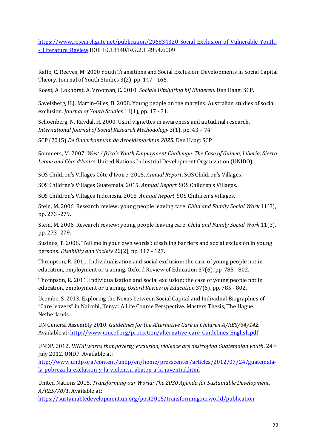[https://www.researchgate.net/publication/296834320\\_Social\\_Exclusion\\_of\\_Vulnerable\\_Youth\\_](https://www.researchgate.net/publication/296834320_Social_Exclusion_of_Vulnerable_Youth_-_Literature_Review) [-\\_Literature\\_Review](https://www.researchgate.net/publication/296834320_Social_Exclusion_of_Vulnerable_Youth_-_Literature_Review) DOI: 10.13140/RG.2.1.4954.6009

Raffo, C. Reeves, M. 2000 Youth Transitions and Social Exclusion: Developments in Social Capital Theory. Journal of Youth Studies 3(2), pp. 147 - 166.

Roest, A. Lokhorst, A. Vrooman, C. 2010. *Sociale Uitsluiting bij Kinderen.* Den Haag: SCP.

Savelsberg, H.J. Martin-Giles, B. 2008. Young people on the margins: Australian studies of social exclusion. *Journal of Youth Studies* 11(1)*,* pp. 17 - 31.

Schoenberg, N. Ravdal, H. 2000. Usinf vignettes in awareness and atitudinal research. *International Journal of Social Research Methodology* 3(1), pp. 43 – 74.

SCP (2015) *De Onderkant van de Arbeidsmarkt in 2025*. Den Haag: SCP

Sommers, M. 2007. *West Africa's Youth Employment Challenge. The Case of Guinea, Liberia, Sierra Leone and Côte d'Ivoire.* United Nations Industrial Development Organization (UNIDO).

SOS Children's Villages Côte d'Ivoire. 2015. *Annual Report*. SOS Children's Villages.

SOS Children's Villages Guatemala. 2015. *Annual Report*. SOS Children's Villages.

SOS Children's Villages Indonesia. 2015. *Annual Report*. SOS Children's Villages.

Stein, M. 2006. Research review: young people leaving care. *Child and Family Social Work* 11(3), pp. 273 -279.

Stein, M. 2006. Research review: young people leaving care. *Child and Family Social Work* 11(3), pp. 273 -279.

Susinos, T. 2008. 'Tell me in your own words': disabling barriers and social exclusion in young persons. *Disability and Society* 22(2), pp. 117 - 127.

Thompson, R. 2011. Individualisation and social exclusion: the case of young people not in education, employment or training. Oxford Review of Education 37(6), pp. 785 - 802.

Thompson, R. 2011. Individualisation and social exclusion: the case of young people not in education, employment or training. *Oxford Review of Education* 37(6), pp. 785 - 802.

Ucembe, S. 2013. Exploring the Nexus between Social Capital and Individual Biographies of "Care leavers" in Nairobi, Kenya: A Life Course Perspective. Masters Thesis, The Hague: Netherlands.

UN General Assembly 2010. *Guidelines for the Alternative Care of Children A/RES/64/142.*  Available at[: http://www.unicef.org/protection/alternative\\_care\\_Guidelines-English.pdf](http://www.unicef.org/protection/alternative_care_Guidelines-English.pdf)

UNDP. 2012. *UNDP warns that poverty, exclusion, violence are destroying Guatemalan youth*. 24th July 2012. UNDP. Available at:

[http://www.undp.org/content/undp/en/home/presscenter/articles/2012/07/24/guatemala](http://www.undp.org/content/undp/en/home/presscenter/articles/2012/07/24/guatemala-la-pobreza-la-exclusion-y-la-violencia-abaten-a-la-juventud.html)[la-pobreza-la-exclusion-y-la-violencia-abaten-a-la-juventud.html](http://www.undp.org/content/undp/en/home/presscenter/articles/2012/07/24/guatemala-la-pobreza-la-exclusion-y-la-violencia-abaten-a-la-juventud.html)

United Nations 2015. *Transforming our World: The 2030 Agenda for Sustainable Development. A/RES/70/1.* Available at:

<https://sustainabledevelopment.un.org/post2015/transformingourworld/publication>